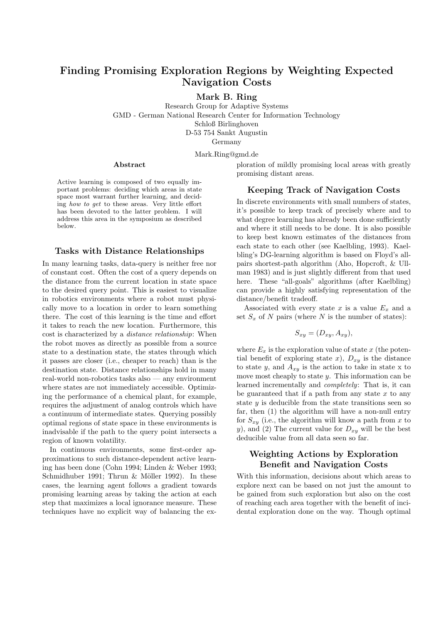# Finding Promising Exploration Regions by Weighting Expected Navigation Costs

Mark B. Ring

Research Group for Adaptive Systems GMD - German National Research Center for Information Technology Schloß Birlinghoven D-53 754 Sankt Augustin Germany

Mark.Ring@gmd.de

#### Abstract

Active learning is composed of two equally important problems: deciding which areas in state space most warrant further learning, and deciding how to get to these areas. Very little effort has been devoted to the latter problem. I will address this area in the symposium as described below.

### Tasks with Distance Relationships

In many learning tasks, data-query is neither free nor of constant cost. Often the cost of a query depends on the distance from the current location in state space to the desired query point. This is easiest to visualize in robotics environments where a robot must physically move to a location in order to learn something there. The cost of this learning is the time and effort it takes to reach the new location. Furthermore, this cost is characterized by a distance relationship: When the robot moves as directly as possible from a source state to a destination state, the states through which it passes are closer (i.e., cheaper to reach) than is the destination state. Distance relationships hold in many real-world non-robotics tasks also — any environment where states are not immediately accessible. Optimizing the performance of a chemical plant, for example, requires the adjustment of analog controls which have a continuum of intermediate states. Querying possibly optimal regions of state space in these environments is inadvisable if the path to the query point intersects a region of known volatility.

In continuous environments, some first-order approximations to such distance-dependent active learning has been done (Cohn 1994; Linden & Weber 1993; Schmidhuber 1991; Thrun  $&$  Möller 1992). In these cases, the learning agent follows a gradient towards promising learning areas by taking the action at each step that maximizes a local ignorance measure. These techniques have no explicit way of balancing the exploration of mildly promising local areas with greatly promising distant areas.

## Keeping Track of Navigation Costs

In discrete environments with small numbers of states, it's possible to keep track of precisely where and to what degree learning has already been done sufficiently and where it still needs to be done. It is also possible to keep best known estimates of the distances from each state to each other (see Kaelbling, 1993). Kaelbling's DG-learning algorithm is based on Floyd's allpairs shortest-path algorithm (Aho, Hopcroft, & Ullman 1983) and is just slightly different from that used here. These "all-goals" algorithms (after Kaelbling) can provide a highly satisfying representation of the distance/benefit tradeoff.

Associated with every state x is a value  $E_x$  and a set  $S_x$  of N pairs (where N is the number of states):

$$
S_{xy} = (D_{xy}, A_{xy}),
$$

where  $E_x$  is the exploration value of state x (the potential benefit of exploring state x),  $D_{xy}$  is the distance to state y, and  $A_{xy}$  is the action to take in state x to move most cheaply to state  $y$ . This information can be learned incrementally and completely: That is, it can be guaranteed that if a path from any state  $x$  to any state  $y$  is deducible from the state transitions seen so far, then (1) the algorithm will have a non-null entry for  $S_{xy}$  (i.e., the algorithm will know a path from x to y), and (2) The current value for  $D_{xy}$  will be the best deducible value from all data seen so far.

# Weighting Actions by Exploration Benefit and Navigation Costs

With this information, decisions about which areas to explore next can be based on not just the amount to be gained from such exploration but also on the cost of reaching each area together with the benefit of incidental exploration done on the way. Though optimal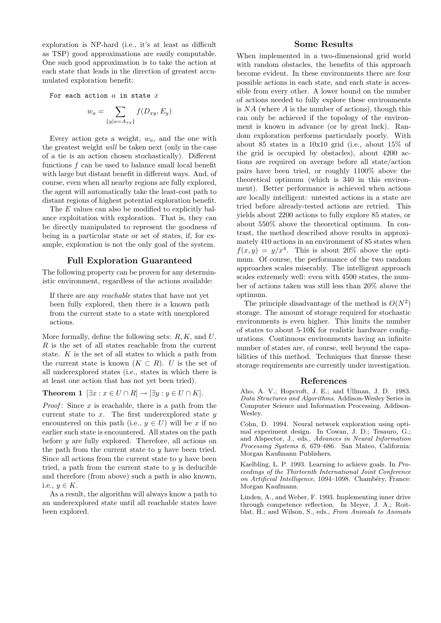exploration is NP-hard (i.e., it's at least as difficult as TSP) good approximations are easily computable. One such good approximation is to take the action at each state that leads in the direction of greatest accumulated exploration benefit:

For each action  $a$  in state  $x$ 

$$
w_a = \sum_{\{y|a=A_{xy}\}} f(D_{xy}, E_y)
$$

Every action gets a weight,  $w_a$ , and the one with the greatest weight will be taken next (only in the case of a tie is an action chosen stochastically). Different functions  $f$  can be used to balance small local benefit with large but distant benefit in different ways. And, of course, even when all nearby regions are fully explored, the agent will automatically take the least-cost path to distant regions of highest potential exploration benefit.

The E values can also be modified to explicitly balance exploitation with exploration. That is, they can be directly manipulated to represent the goodness of being in a particular state or set of states, if, for example, exploration is not the only goal of the system.

### Full Exploration Guaranteed

The following property can be proven for any deterministic environment, regardless of the actions available:

If there are any reachable states that have not yet been fully explored, then there is a known path from the current state to a state with unexplored actions.

More formally, define the following sets:  $R, K$ , and  $U$ .  $R$  is the set of all states reachable from the current state. K is the set of all states to which a path from the current state is known  $(K \subset R)$ . U is the set of all underexplored states (i.e., states in which there is at least one action that has not yet been tried).

**Theorem 1**  $[\exists x : x \in U \cap R] \rightarrow [\exists y : y \in U \cap K]$ .

*Proof*: Since  $x$  is reachable, there is a path from the current state to  $x$ . The first underexplored state  $y$ encountered on this path (i.e.,  $y \in U$ ) will be x if no earlier such state is encountered. All states on the path before  $y$  are fully explored. Therefore, all actions on the path from the current state to  $y$  have been tried. Since all actions from the current state to  $y$  have been tried, a path from the current state to  $y$  is deducible and therefore (from above) such a path is also known, i.e.,  $y \in K$ .

As a result, the algorithm will always know a path to an underexplored state until all reachable states have been explored.

### Some Results

When implemented in a two-dimensional grid world with random obstacles, the benefits of this approach become evident. In these environments there are four possible actions in each state, and each state is accessible from every other. A lower bound on the number of actions needed to fully explore these environments is  $NA$  (where  $A$  is the number of actions), though this can only be achieved if the topology of the environment is known in advance (or by great luck). Random exploration performs particularly poorly. With about 85 states in a 10x10 grid (i.e., about 15% of the grid is occupied by obstacles), about 4200 actions are required on average before all state/action pairs have been tried, or roughly 1100% above the theoretical optimum (which is 340 in this environment). Better performance is achieved when actions are locally intelligent: untested actions in a state are tried before already-tested actions are retried. This yields about 2200 actions to fully explore 85 states, or about 550% above the theoretical optimum. In contrast, the method described above results in approximately 410 actions in an environment of 85 states when  $f(x,y) = y/x^4$ . This is about 20% above the optimum. Of course, the performance of the two random approaches scales miserably. The intelligent approach scales extremely well: even with 4500 states, the number of actions taken was still less than 20% above the optimum.

The principle disadvantage of the method is  $O(N^2)$ storage. The amount of storage required for stochastic environments is even higher. This limits the number of states to about 5-10K for realistic hardware configurations. Continuous environments having an infinite number of states are, of course, well beyond the capabilities of this method. Techniques that finesse these storage requirements are currently under investigation.

#### References

Aho, A. V.; Hopcroft, J. E.; and Ullman, J. D. 1983. Data Structures and Algorithms. Addison-Wesley Series in Computer Science and Information Processing. Addison-Wesley.

Cohn, D. 1994. Neural network exploration using optimal experiment design. In Cowan, J. D.; Tesauro, G.; and Alspector, J., eds., Advances in Neural Information Processing Systems 6, 679–686. San Mateo, California: Morgan Kaufmann Publishers.

Kaelbling, L. P. 1993. Learning to achieve goals. In Proceedings of the Thirteenth International Joint Conference on Artificial Intelligence, 1094-1098. Chambéry, France: Morgan Kaufmann.

Linden, A., and Weber, F. 1993. Implementing inner drive through competence reflection. In Meyer, J. A.; Roitblat, H.; and Wilson, S., eds., From Animals to Animats